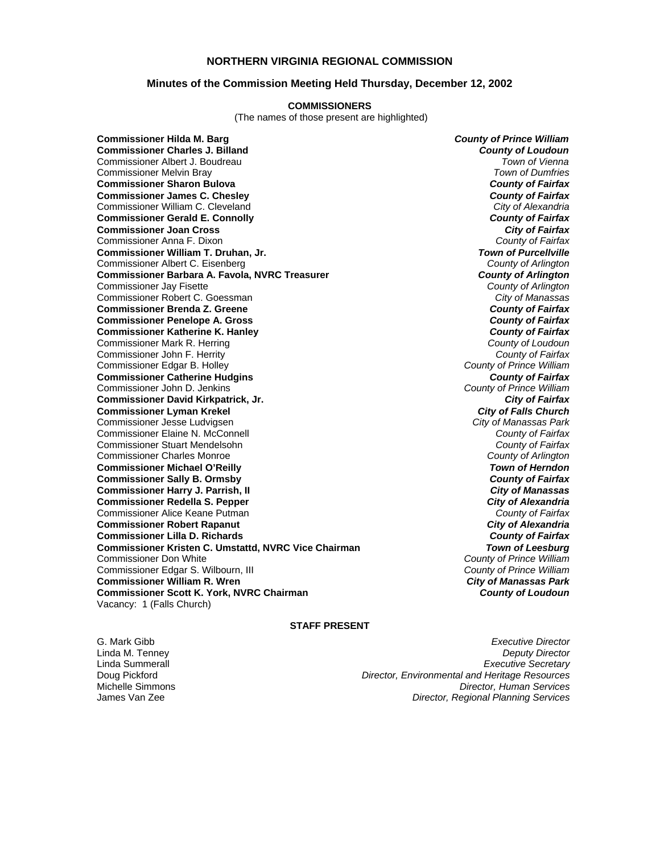# **NORTHERN VIRGINIA REGIONAL COMMISSION**

## **Minutes of the Commission Meeting Held Thursday, December 12, 2002**

#### **COMMISSIONERS**

(The names of those present are highlighted)

**Commissioner Hilda M. Barg** *County of Prince William* **Commissioner Charles J. Billand** *County of Loudoun* Commissioner Albert J. Boudreau *Town of Vienna* Commissioner Melvin Bray *Town of Dumfries* **Commissioner Sharon Bulova** *County of Fairfax* **Commissioner James C. Chesley** *County of Fairfax* Commissioner William C. Cleveland *City of Alexandria* **Commissioner Gerald E. Connolly Commissioner Joan Cross** *City of Fairfax* Commissioner Anna F. Dixon *County of Fairfax* **Commissioner William T. Druhan, Jr.** *Town of Purcellville* Commissioner Albert C. Eisenberg *County of Arlington* **Commissioner Barbara A. Favola, NVRC Treasurer** *County of Arlington* Commissioner Jay Fisette *County of Arlington* Commissioner Robert C. Goessman *City of Manassas* **Commissioner Brenda Z. Greene** *County of Fairfax* **Commissioner Penelope A. Gross** *County of Fairfax* **Commissioner Katherine K. Hanley** Commissioner Mark R. Herring *County of Loudoun* Commissioner John F. Herrity *County of Fairfax* Commissioner Edgar B. Holley *County of Prince William* **Commissioner Catherine Hudgins** *County of Fairfax* Commissioner John D. Jenkins *County of Prince William* **Commissioner David Kirkpatrick, Jr.** *City of Fairfax* **Commissioner Lyman Krekel** *City of Falls Church* Commissioner Jesse Ludvigsen *City of Manassas Park* Commissioner Elaine N. McConnell *County of Fairfax* Commissioner Stuart Mendelsohn *County of Fairfax* Commissioner Charles Monroe *County of Arlington* **Commissioner Michael O'Reilly** *Town of Herndon* **Commissioner Sally B. Ormsby Commissioner Harry J. Parrish, II** *City of Manassas* **Commissioner Redella S. Pepper** *City of Alexandria* Commissioner Alice Keane Putman *County of Fairfax* **Commissioner Robert Rapanut** *City of Alexandria* **Commissioner Lilla D. Richards** *County of Fairfax* **Commissioner Kristen C. Umstattd, NVRC Vice Chairman** *Town of Leesburg***<br>Commissioner Don White <b>***Town of Prince William* Commissioner Don White *County of Prince William* Commissioner Edgar S. Wilbourn, III *County of Prince William* **Commissioner William R. Wren** *City of Manassas Park* **Commissioner Scott K. York, NVRC Chairman** Vacancy: 1 (Falls Church)

#### **STAFF PRESENT**

G. Mark Gibb *Executive Director* Linda M. Tenney *Deputy Director* Linda Summerall *Executive Secretary* Doug Pickford *Director, Environmental and Heritage Resources* **Director, Human Services** James Van Zee *Director, Regional Planning Services*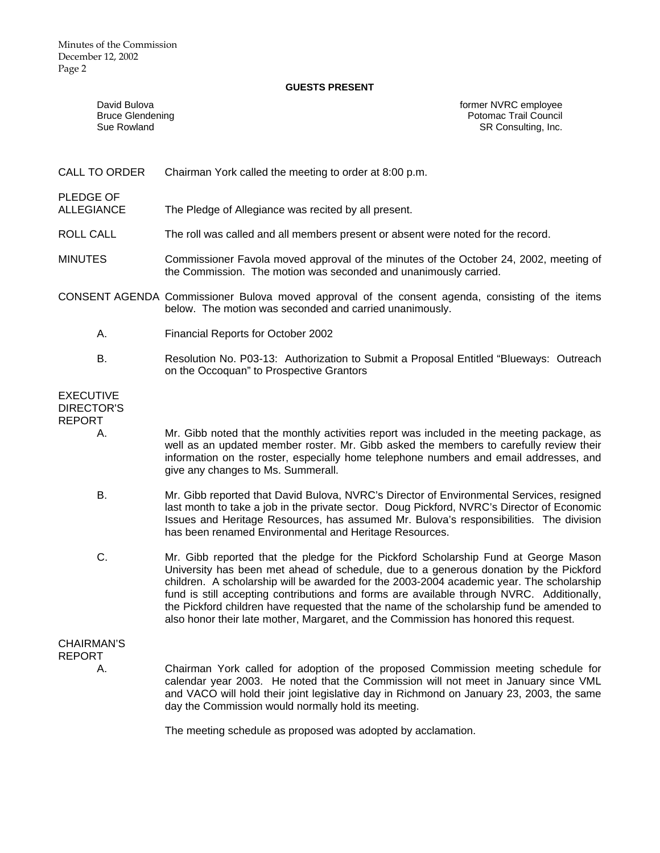#### **GUESTS PRESENT**

David Bulova former NVRC employee Bruce Glendening **Potomac Trail Council** Potomac Trail Council Sue Rowland SR Consulting, Inc.

CALL TO ORDER Chairman York called the meeting to order at 8:00 p.m.

PLEDGE OF

ALLEGIANCE The Pledge of Allegiance was recited by all present.

ROLL CALL The roll was called and all members present or absent were noted for the record.

MINUTES Commissioner Favola moved approval of the minutes of the October 24, 2002, meeting of the Commission. The motion was seconded and unanimously carried.

- CONSENT AGENDA Commissioner Bulova moved approval of the consent agenda, consisting of the items below. The motion was seconded and carried unanimously.
	- A. Financial Reports for October 2002
	- B. Resolution No. P03-13: Authorization to Submit a Proposal Entitled "Blueways: Outreach on the Occoquan" to Prospective Grantors

## EXECUTIVE DIRECTOR'S REPORT

- A. Mr. Gibb noted that the monthly activities report was included in the meeting package, as well as an updated member roster. Mr. Gibb asked the members to carefully review their information on the roster, especially home telephone numbers and email addresses, and give any changes to Ms. Summerall.
- B. Mr. Gibb reported that David Bulova, NVRC's Director of Environmental Services, resigned last month to take a job in the private sector. Doug Pickford, NVRC's Director of Economic Issues and Heritage Resources, has assumed Mr. Bulova's responsibilities. The division has been renamed Environmental and Heritage Resources.
- C. Mr. Gibb reported that the pledge for the Pickford Scholarship Fund at George Mason University has been met ahead of schedule, due to a generous donation by the Pickford children. A scholarship will be awarded for the 2003-2004 academic year. The scholarship fund is still accepting contributions and forms are available through NVRC. Additionally, the Pickford children have requested that the name of the scholarship fund be amended to also honor their late mother, Margaret, and the Commission has honored this request.

## CHAIRMAN'S REPORT

 A. Chairman York called for adoption of the proposed Commission meeting schedule for calendar year 2003. He noted that the Commission will not meet in January since VML and VACO will hold their joint legislative day in Richmond on January 23, 2003, the same day the Commission would normally hold its meeting.

The meeting schedule as proposed was adopted by acclamation.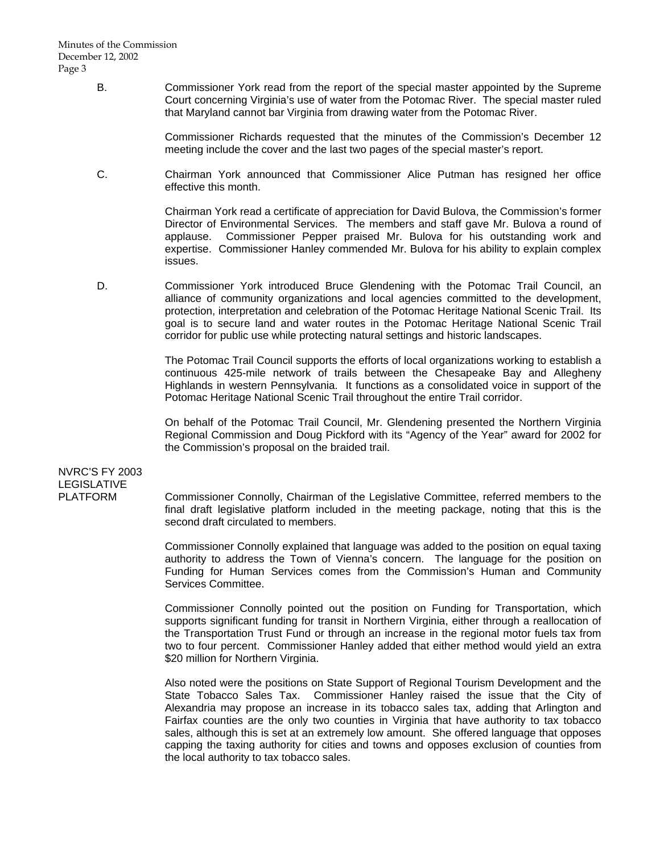B. Commissioner York read from the report of the special master appointed by the Supreme Court concerning Virginia's use of water from the Potomac River. The special master ruled that Maryland cannot bar Virginia from drawing water from the Potomac River.

> Commissioner Richards requested that the minutes of the Commission's December 12 meeting include the cover and the last two pages of the special master's report.

 C. Chairman York announced that Commissioner Alice Putman has resigned her office effective this month.

> Chairman York read a certificate of appreciation for David Bulova, the Commission's former Director of Environmental Services. The members and staff gave Mr. Bulova a round of applause. Commissioner Pepper praised Mr. Bulova for his outstanding work and expertise. Commissioner Hanley commended Mr. Bulova for his ability to explain complex issues.

 D. Commissioner York introduced Bruce Glendening with the Potomac Trail Council, an alliance of community organizations and local agencies committed to the development, protection, interpretation and celebration of the Potomac Heritage National Scenic Trail. Its goal is to secure land and water routes in the Potomac Heritage National Scenic Trail corridor for public use while protecting natural settings and historic landscapes.

> The Potomac Trail Council supports the efforts of local organizations working to establish a continuous 425-mile network of trails between the Chesapeake Bay and Allegheny Highlands in western Pennsylvania. It functions as a consolidated voice in support of the Potomac Heritage National Scenic Trail throughout the entire Trail corridor.

> On behalf of the Potomac Trail Council, Mr. Glendening presented the Northern Virginia Regional Commission and Doug Pickford with its "Agency of the Year" award for 2002 for the Commission's proposal on the braided trail.

NVRC'S FY 2003 LEGISLATIVE

PLATFORM Commissioner Connolly, Chairman of the Legislative Committee, referred members to the final draft legislative platform included in the meeting package, noting that this is the second draft circulated to members.

> Commissioner Connolly explained that language was added to the position on equal taxing authority to address the Town of Vienna's concern. The language for the position on Funding for Human Services comes from the Commission's Human and Community Services Committee.

> Commissioner Connolly pointed out the position on Funding for Transportation, which supports significant funding for transit in Northern Virginia, either through a reallocation of the Transportation Trust Fund or through an increase in the regional motor fuels tax from two to four percent. Commissioner Hanley added that either method would yield an extra \$20 million for Northern Virginia.

> Also noted were the positions on State Support of Regional Tourism Development and the State Tobacco Sales Tax. Commissioner Hanley raised the issue that the City of Alexandria may propose an increase in its tobacco sales tax, adding that Arlington and Fairfax counties are the only two counties in Virginia that have authority to tax tobacco sales, although this is set at an extremely low amount. She offered language that opposes capping the taxing authority for cities and towns and opposes exclusion of counties from the local authority to tax tobacco sales.